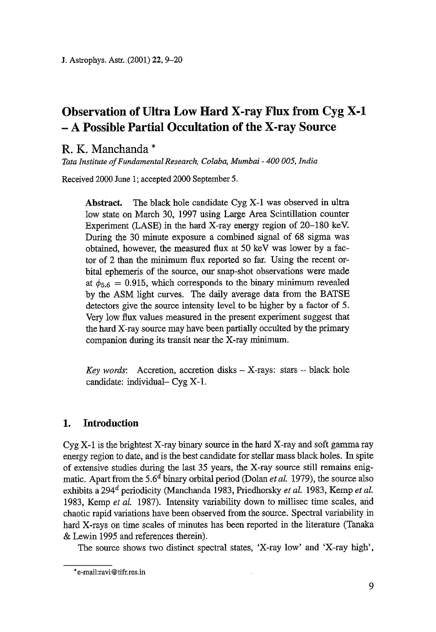# **Observation of Ultra Low Hard X-ray Flux from Cyg X-1 - A Possible Partial Occultation of the X-ray Source**

## R. K. Manchanda \*

*Tata Institute of Fundamental Research, Colaba, Murnbai - 400 005, India* 

Received 2000 June 1; accepted 2000 September 5.

**Abstract.** The black hole candidate Cyg X-1 was observed in ultra low state on March 30, 1997 using Large Area Scintillation counter Experiment (LASE) in the hard X-ray energy region of  $20-180$  keV. During the 30 minute exposure a combined signal of 68 sigma was obtained, however, the measured flux at 50 keV was Iower by a factor of 2 than the minimum flux reported so far. Using the recent orbital ephemeris of the source, our snap-shot observations were made at  $\phi_{5.6} = 0.915$ , which corresponds to the binary minimum revealed by the ASM light curves. The daily average data from the BATSE detectors give the source intensity level to be higher by a factor of 5. Very low flux values measured in the present experiment suggest that the hard X-ray source may have been partially occulted by the primary companion during its transit near the X-ray minimum.

*Key words:* Accretion, accretion disks – X-rays: stars – black hole candidate: individual- Cyg X-1.

### **1. Introduction**

Cyg X-1 is the brightest X-ray binary source in the hard X-ray and soft gamma ray energy region to date, and is the best candidate for stellar mass black holes. In spite of extensive studies during the Iast 35 years, the X-ray source still remains enigmatic. Apart from the  $5.6<sup>d</sup>$  binary orbital period (Dolan *et al.* 1979), the source also exhibits a 294<sup>d</sup> periodicity (Manchanda 1983, Priedhorsky *et al.* 1983, Kemp *et al.* 1983, Kemp *et al.* 1987). Intensity variability down to millisec time scales, arid chaotic rapid variations have been observed from the source. Spectral variability in hard X-rays on time scales of minutes has been reported in the literature (Tanaka & Lewin 1995 and references therein).

The source shows two distinct spectral states, 'X-ray low' and 'X-ray high',

<sup>\*</sup> e-mail:ravi@tifr.res.in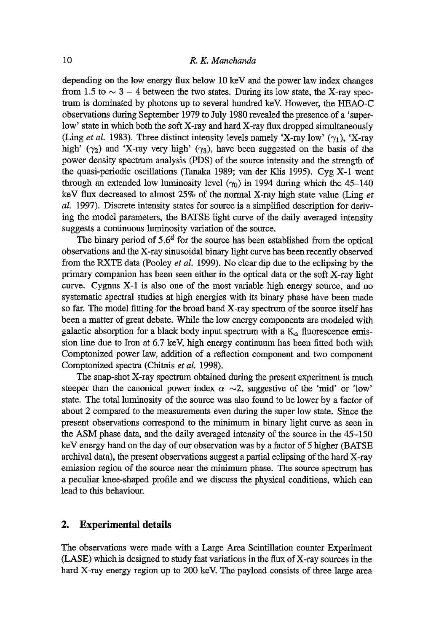depending on the low energy flux below 10 keV and the power law index changes from 1.5 to  $\sim$  3 - 4 between the two states. During its low state, the X-ray spectrum is dominated by photons up to several hundred keV. However, the HEAO-C observations during September 1979 to July 1980 revealed the presence of a 'superlow' state in which both the soft X-ray and hard X-ray flux dropped simultaneously (Ling *et al.* 1983). Three distinct intensity levels namely 'X-ray low'  $(\gamma_1)$ , 'X-ray high' ( $\gamma_2$ ) and 'X-ray very high' ( $\gamma_3$ ), have been suggested on the basis of the power density spectrum analysis (PDS) of the source intensity and the strength of the quasi-periodic oscillations (Tanaka 1989; van der Klis 1995). Cyg  $X$ -1 went through an extended low luminosity level  $(\gamma_0)$  in 1994 during which the 45-140 keV flux decreased to almost 25% of the normal X-ray high state value (Ling *et aL* 1997). Discrete intensity states for source is a simplified description for deriving the model parameters, the BATSE Iight curve of the daily averaged intensity suggests a continuous luminosity variation of the source.

The binary period of  $5.6<sup>d</sup>$  for the source has been established from the optical observations and the X-ray sinusoidal binary light curve has been recently observed from the RXTE data (Pooley *et al.* 1999). No clear dip due to the eclipsing by the primary companion has been seen either in the optical data or the soft X-ray light curve. Cygnus X-1 is also one of the most variable high energy source, and no systematic spectral studies at high energies with its binary phase have been made so far. The model fitting for the broad band X-ray spectrum of the source itself has been a matter of great debate. While the low energy components are modeled with galactic absorption for a black body input spectrum with a  $K_{\alpha}$  fluorescence emission fine due to Iron at 6.7 keV, high energy continuum has been fitted both with Comptonized power law, addition of a reflection component and two component Comptonized spectra (Chitnis *et al.* 1998).

The snap-shot X-ray spectrum obtained during the present experiment is much steeper than the canonical power index  $\alpha \sim 2$ , suggestive of the 'mid' or 'low' state. The total luminosity of the source was also found to be lower by a factor of about 2 compared to the measurements even during the super low state. Since the present observations correspond to the minimum in binary light curve as seen in the ASM phase data, and the daily averaged intensity of the source in the 45-150 keV energy band on the day of our observation was by a factor of 5 higher (BATSE archival data), the present observations suggest a partial eclipsing of the hard X-ray emission region of the source near the minimum phase. The source spectrum has a peculiar knee-shaped profile and we discuss the physical conditions, which can lead to this behaviour.

#### **2. Experimental details**

The observations were made with a Large Area Scintillation counter Experiment (LASE) which is designed to study fast variations in the flux of X-ray sources in the hard X-ray energy region up to 200 keV. The payload consists of three large area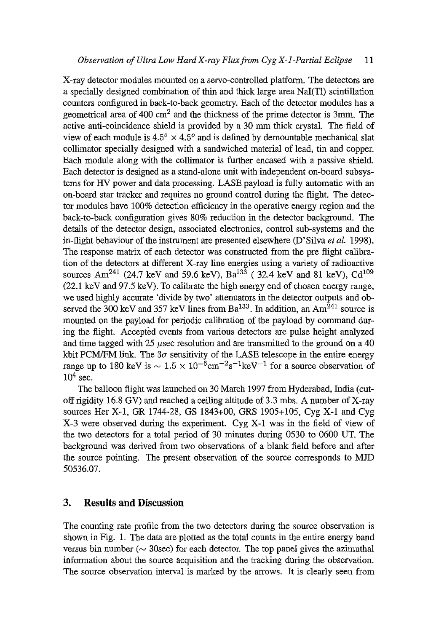X-ray detector modules mounted on a servo-controlled platform. The detectors are a specially designed combination of thin and thick large area NaI(T1) scintillation counters configured in back-to-back geometry. Each of the detector modules has a geometrical area of  $400 \text{ cm}^2$  and the thickness of the prime detector is 3mm. The active anti-coincidence shield is provided by a 30 mm thick crystal. The field of view of each module is  $4.5^{\circ} \times 4.5^{\circ}$  and is defined by demountable mechanical slat collimator specially designed with a sandwiched material of lead, tin and copper. Each module along with the collimator is further encased with a passive shield. Each detector is designed as a stand-alone umt with independent on-board subsystems for HV power and data processing. LASE payload is fully automatic with an on-board star tracker and requires no ground control during the flight. The detector modules have 100% detection efficiency in the operative energy region and the back-to-back configuration gives 80% reduction in the detector background. The details of the detector design, associated electronics, control sub-systems and the in-flight behaviour of the instrument are presented elsewhere (D'Silva *et al.* 1998). The response matrix of each detector was constructed from the pre flight calibration of the detectors at different X-ray line energies using a variety of radioactive sources Am<sup>241</sup> (24.7 keV and 59.6 keV), Ba<sup>133</sup> (32.4 keV and 81 keV), Cd<sup>109</sup> (22.1 keV and 97.5 keV). To calibrate the high energy end of chosen energy range, we used highly accurate 'divide by two' attenuators in the detector outputs and observed the 300 keV and 357 keV lines from  $Ba^{133}$ . In addition, an Am<sup>241</sup> source is mounted on the payload for periodic calibration of the payload by command during the flight. Accepted events from various detectors are pulse height analyzed and time tagged with 25  $\mu$ sec resolution and are transmitted to the ground on a 40 kbit PCM/FM link. The  $3\sigma$  sensitivity of the LASE telescope in the entire energy range up to 180 keV is  $\sim 1.5 \times 10^{-6}$ cm<sup>-2</sup>s<sup>-1</sup>keV<sup>-1</sup> for a source observation of  $10^4$  sec.

The balloon flight was launched on 30 March 1997 from Hyderabad, India (cutoff rigidity  $16.8$  GV) and reached a ceiling altitude of 3.3 mbs. A number of X-ray sources Her X-l, GR 1744-28, GS 1843+00, GRS 1905+105, Cyg X-1 and Cyg X-3 were observed during the experiment. Cyg X-1 was in the field of view of the two detectors for a total period of 30 minutes during 0530 to 0600 UT. The background was derived from two observations of a blank field before and after the source pointing. The present observation of the source corresponds to MJD 50536.07.

#### **3. Results and Discussion**

The counting rate profile from the two detectors during the source observation is shown in Fig. 1. The data are plotted as the total counts in the entire energy band versus bin number ( $\sim$  30sec) for each detector. The top panel gives the azimuthal information about the source acquisition and the tracking during the observation. The source observation interval is marked by the arrows. It is clearly seen from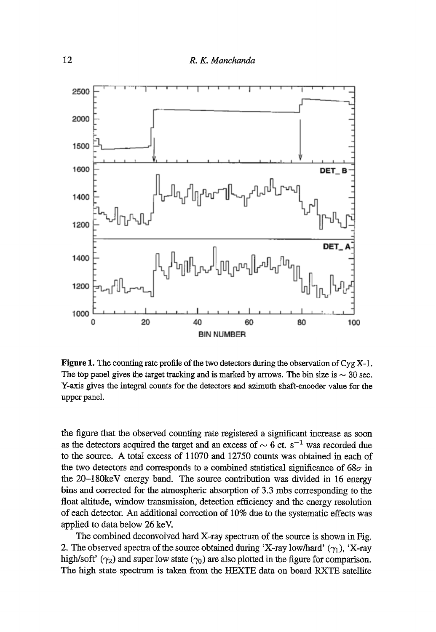

Figure 1. The counting rate profile of the two detectors during the observation of  $Cyg X-1$ . The top panel gives the target tracking and is marked by arrows. The bin size is  $\sim 30$  sec. Y-axis gives the integral counts for the detectors and azimuth shaft-encoder value for the upper panel.

the figure that the observed counting rate registered a significant increase as soon as the detectors acquired the target and an excess of  $\sim 6$  ct. s<sup>-1</sup> was recorded due to the source. A total excess of 11070 and 12750 counts was obtained in each of the two detectors and corresponds to a combined statistical significance of  $68\sigma$  in the 20-180keV energy band. The source contribution was divided in 16 energy bins and corrected for the atmospheric absorption of 3.3 mbs corresponding to the float altitude, window transmission, detection efficiency and the energy resolution of each detector. An additional correction of 10% due to the systematic effects was applied to data below 26 keV.

The combined deconvolved hard X-ray spectrum of the source is shown in Fig. 2. The observed spectra of the source obtained during 'X-ray low/hard'  $(\gamma_1)$ , 'X-ray high/soft'  $(\gamma_2)$  and super low state  $(\gamma_0)$  are also plotted in the figure for comparison. The high state spectrum is taken from the HEXTE data on board RXTE sateilite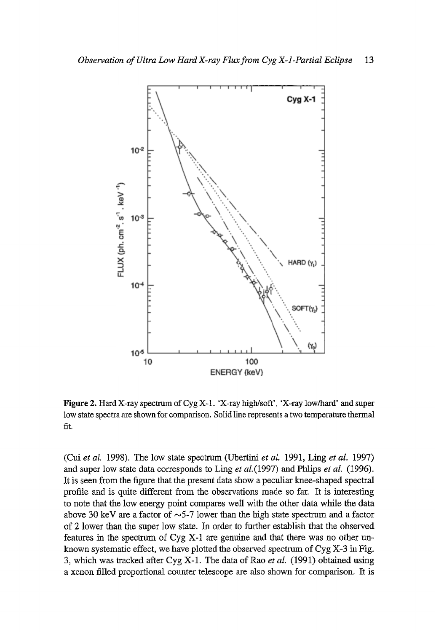

Figure 2. Hard X-ray spectrum of Cyg X-1. 'X-ray high/soft', 'X-ray low/hard' and super low state spectra are shown for comparison. Solid line represents a two temperature thermal fit.

(Cui *et aL* 1998). The low state spectrum (Ubertini *et aL* 1991, Ling *et al.* 1997) and super low state data corresponds to Ling *et al.* (1997) and Phlips *et al.* (1996). It is seen from the figure that the present data show a peculiar knee-shaped spectral profile and is quite different from the observations made so far. It is interesting to note that the low energy point compares well with the other data while the data above 30 keV are a factor of  $\sim$ 5-7 lower than the high state spectrum and a factor of 2 lower than the super low state. In order to further establish that the observed features in the spectrum of Cyg X-1 are genuine and that there was no other unknown systematic effect, we have plotted the observed spectrum of  $Cyg X-3$  in Fig. 3, which was tracked after Cyg X-1. The data of Rao *et al.* (1991) obtained using a xenon filled proportional counter telescope are also shown for comparison. It is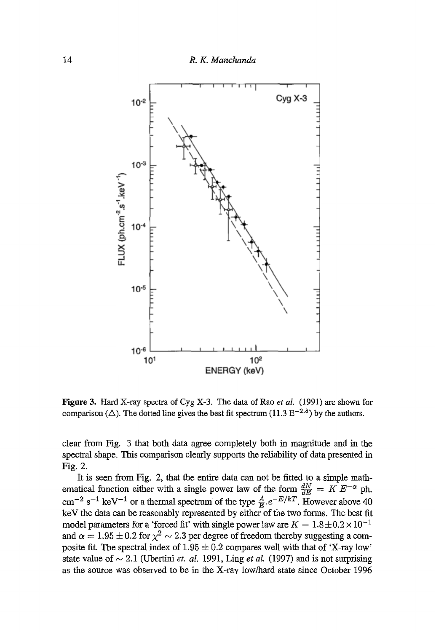

Figure 3. Hard X-ray spectra of Cyg X-3. The data of Rao *et aL* (1991) are shown for comparison ( $\triangle$ ). The dotted line gives the best fit spectrum (11.3  $E^{-2.8}$ ) by the authors.

clear from Fig. 3 that both data agree completely both in magnitude and in the spectral shape. This comparison clearly supports the refiability of data presented in Fig. 2.

It is seen from Fig. 2, that the entire data can not be fitted to a simple mathematical function either with a single power law of the form  $\frac{dN}{dE} = K E^{-\alpha}$  ph.  $\rm cm^{-2}$  s<sup>-1</sup> keV<sup>-1</sup> or a thermal spectrum of the type  $\frac{A}{L}e^{-E/kT}$ . However above 40 keV the data can be reasonably represented by either of the two forms. The best fit model parameters for a 'forced fit' with single power law are  $K = 1.8 \pm 0.2 \times 10^{-1}$ and  $\alpha = 1.95 \pm 0.2$  for  $\chi^2 \sim 2.3$  per degree of freedom thereby suggesting a composite fit. The spectral index of  $1.95 \pm 0.2$  compares well with that of 'X-ray low' state value of  $\sim 2.1$  (Ubertini *et. al.* 1991, Ling *et al.* (1997) and is not surprising as the source was observed to be in the X-ray low/hard state since October 1996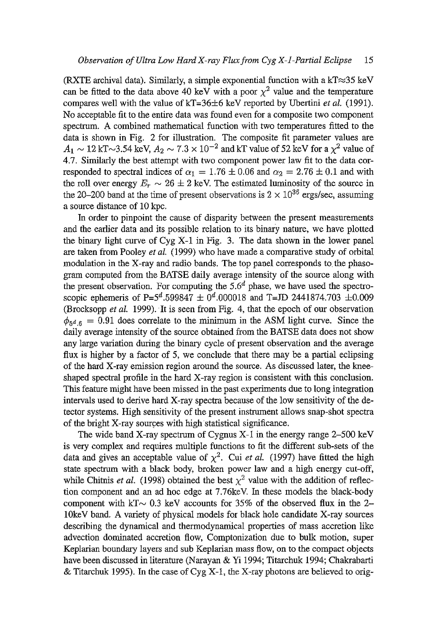(RXTE archival data). Similarly, a simple exponential function with a  $kT \approx 35$  keV can be fitted to the data above 40 keV with a poor  $\chi^2$  value and the temperature compares well with the value of kT=36+6 keV reported by Ubertini *et al.* (1991). No acceptable fit to the entire data was found even for a composite two component spectrum. A combined mathematical function with two temperatures fitted to the data is shown in Fig. 2 for illustration. The composite fit parameter values are  $A_1 \sim 12$  kT $\sim$ 3.54 keV,  $A_2 \sim 7.3 \times 10^{-2}$  and kT value of 52 keV for a  $\chi^2$  value of 4.7. Similarly the best attempt with two component power law fit to the data corresponded to spectral indices of  $\alpha_1 = 1.76 \pm 0.06$  and  $\alpha_2 = 2.76 \pm 0.1$  and with the roll over energy  $E_r \sim 26 \pm 2$  keV. The estimated luminosity of the source in the 20-200 band at the time of present observations is  $2 \times 10^{36}$  ergs/sec, assuming a source distance of 10 kpc.

In order to pinpoint the cause of disparity between the present measurements and the earlier data and its possible relation to its binary nature, we have plotted the binary light curve of Cyg X-1 in Fig. 3. The data shown in the lower panel are taken from Pooley *et al.* (1999) who have made a comparative study of orbital modulation in the X-ray and radio bands. The top panel corresponds to the phasogram computed from the BATSE daily average intensity of the source along with the present observation. For computing the  $5.6<sup>d</sup>$  phase, we have used the spectroscopic ephemeris of P=5<sup>d</sup>.599847  $\pm 0^d$ .000018 and T=JD 2441874.703  $\pm 0.009$ (Brocksopp *et al.* 1999). It is seen from Fig. 4, that the epoch of our observation  $\phi_{5d,6} = 0.91$  does correlate to the minimum in the ASM light curve. Since the daily average intensity of the source obtained from the BATSE data does not show any large variation during the binary cycle of present observation and the average flux is higher by a factor of 5, we conclude that there may be a partial eclipsing of the hard X-ray emission region around the source. As discussed later, the kneeshaped spectral profile in the hard X-ray region is consistent with this conclusion. This feature might have been missed in the past experiments due to long integration intervals used to derive hard X-ray spectra because of the low sensitivity of the detector systems. High sensitivity of the present instrument allows snap-shot spectra of the bright X-ray sources with high statistical significance.

The wide band X-ray spectrum of Cygnus X-I in the energy range 2-500 keV is very complex and requires multiple functions to fit the different sub-sets of the data and gives an acceptable value of  $\chi^2$ . Cui *et al.* (1997) have fitted the high state spectrum with a black body, broken power law and a high energy cut-off, while Chitnis *et al.* (1998) obtained the best  $\chi^2$  value with the addition of reflection component and an ad hoc edge at 7.76keV. In these models the black-body component with kT $\sim$  0.3 keV accounts for 35% of the observed flux in the 2-10keV band. A variety of physical models for black hole candidate X-ray sources describing the dynamical and thermodynamical properties of mass accretion like advection dominated accretion flow, Comptonization due to bulk motion, super Keplarian boundary layers and sub Keplarian mass flow, on to the compact objects have been discussed in literature (Narayan & Yi 1994; Titarchuk 1994; Chakrabarti & Titarchuk 1995). In the case of Cyg  $X-1$ , the X-ray photons are believed to orig-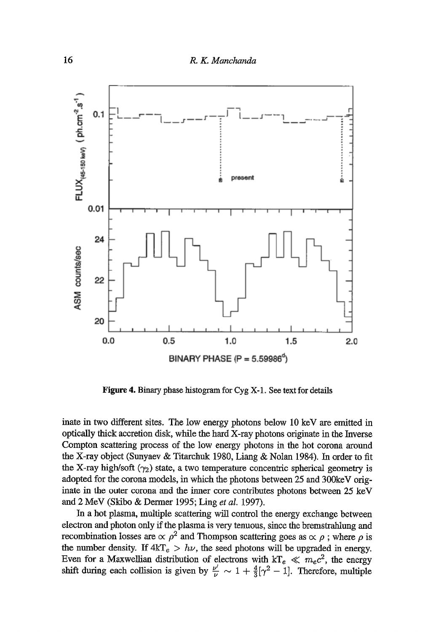

Figure 4. Binary phase histogram for Cyg X-1. See text for details

inate in two different sites. The low energy photons below 10 keV are emitted in optically thick accretion disk, while the hard X-ray photons originate in the Inverse Compton scattering process of the low energy photons in the hot corona around the X-ray object (Sunyaev & Titarchuk 1980, Liang & Nolan 1984). In order to fit the X-ray high/soft  $(\gamma_2)$  state, a two temperature concentric spherical geometry is adopted for the corona models, in which the photons between 25 and 300keV originate in the outer corona and the inner core contributes photons between 25 keV and 2 MeV (Skibo & Dermer 1995; Ling *et al.* 1997).

In a hot plasma, multiple scattering will control the energy exchange between electron and photon only if the plasma is very tenuous, since the bremstrahlung and recombination losses are  $\propto \rho^2$  and Thompson scattering goes as  $\propto \rho$ ; where  $\rho$  is the number density. If  $4kT_e > h\nu$ , the seed photons will be upgraded in energy. Even for a Maxwellian distribution of electrons with  $kT_e \ll m_ec^2$ , the energy shift during each collision is given by  $\frac{\nu'}{\nu} \sim 1 + \frac{4}{3}[\gamma^2 - 1]$ . Therefore, multiple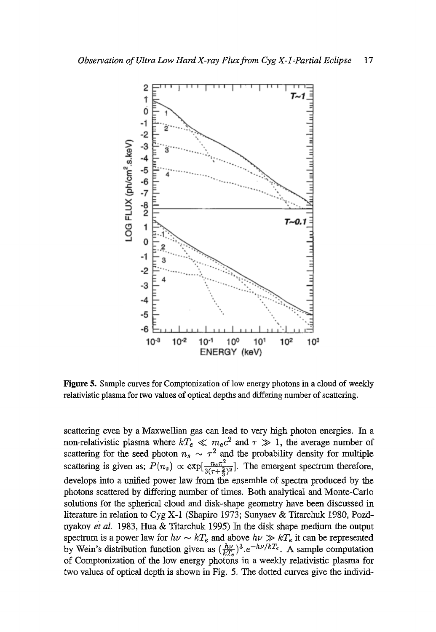

Figure 5. Sample curves for Comptonization of low energy photons in a cloud of weekly relativistic plasma for two values of optical depths and differing number of scattering.

scattering even by a Maxwellian gas can lead to very high photon energies. In a non-relativistic plasma where  $kT_e \ll m_e c^2$  and  $\tau \gg 1$ , the average number of scattering for the seed photon  $n_s \sim \tau^2$  and the probability density for multiple scattering is given as;  $P(n_s) \propto \exp[\frac{n_s \pi^2}{3(\tau + \frac{2}{3})^2}]$ . The emergent spectrum therefore, develops into a unified power law from the ensemble of spectra produced by the photons scattered by differing number of times. Both analytical and Monte-Carlo solutions for the spherical cloud and disk-shape geometry have been discussed in literature in relation to Cyg X-1 (Shapiro 1973; Sunyaev & Titarchuk 1980, Pozdnyakov et *al.* 1983, Hua & Titarchuk 1995) In the disk shape medium the output spectrum is a power law for  $h\nu \sim kT_e$  and above  $h\nu \gg kT_e$  it can be represented by Wein's distribution function given as  $(\frac{h\nu}{kT})^3 \cdot e^{-h\nu/kT_e}$ . A sample computation of Comptonization of the low energy photons in a weekly relativistic plasma for two values of optical depth is shown in Fig. 5. The dotted curves give the individ-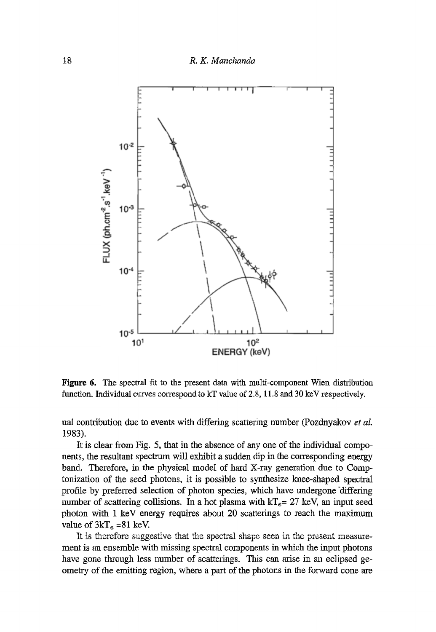

Figure 6. The spectral fit to the present data with multi-component Wien distribution function. Individual curves correspond to kT value of 2.8, l 1.8 and 30 keV respectively.

uaI contribution due to events with differing scattering number (Pozdnyakov *et aL*  1983).

It is clear from Fig. 5, that in the absence of any one of the individual components, the resultant spectrum will exhibit a sudden dip in the corresponding energy band. Therefore, in the physical model of hard X-ray generation due to Comptonization of the seed photons, it is possible to synthesize knee-shaped spectral profile by preferred selection of photon species, which have undergone "differing number of scattering collisions. In a hot plasma with  $kT_e= 27$  keV, an input seed photon with 1 keV energy requires about 20 scatterings to reach the maximum value of  $3kT_e = 81$  keV.

It is therefore suggestive that the spectral shape seen in the present measurement is an ensemble with missing spectral components in which the input photons have gone through less number of seatterings. This can arise in an eclipsed geometry of the emitting region, where a part of the photons in the forward cone are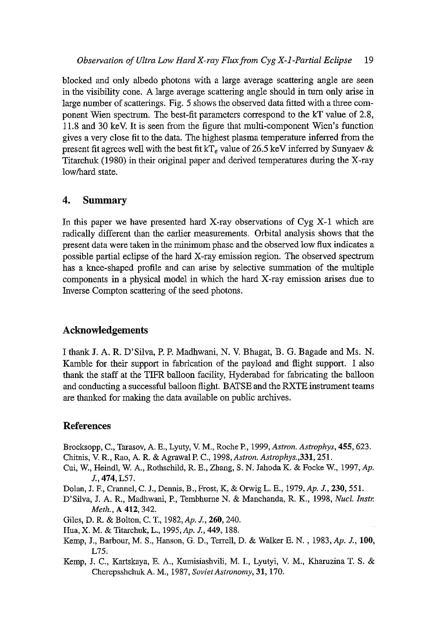blocked and only albedo photons with a large average scattering angle are seen in the visibility cone. A large average scattering angle should in turn only arise in large number of scatterings. Fig. 5 shows the observed data fitted with a three component Wien spectrum. The best-fit parameters correspond to the kT value of 2.8, 11.8 and 30 keV. it is seen from the figure that multi-component Wien's function gives a very close fit to the data. The highest plasma temperature inferred from the present fit agrees well with the best fit kT<sub>e</sub> value of 26.5 keV inferred by Sunyaev & Titarchuk (1980) in their original paper and derived temperatures during the X-ray low/hard state.

#### **4. Summary**

In this paper we have presented hard X-ray observations of Cyg  $X-1$  which are radically different than the earlier measurements. Orbital analysis shows that the present data were taken in the minimum phase and the observed low flux indicates a possible partial eclipse of the hard X-ray emission region. The observed spectrum has a knee-shaped profile and can arise by selective summation of the multiple components in a physical model in which the hard X-ray emission arises due to Inverse Compton scattering of the seed photons.

#### **Acknowledgements**

I thank J. A. R. D'Silva, E P. Madhwani, N. V. Bhagat, B. G. Bagade and Ms. N. Kamble for their support in fabrication of the payload and flight support. I also thank the staff at the TIFR balloon facility, Hyderabad for fabricating the balloon and conducting a successful balloon flight. BATSE and the RXTE instrument teams are thanked for making the data available on public archives.

#### **References**

Brocksopp, C., Tarasov, A. E., Lyuty, V. M., Roche R, 1999, *Astron. Astrophys,* 455, 623.

- Chitnis, V. R., Rao, A. R. & Agrawal P. C., *1998,Astron. Astrophys.,331,251.*
- Cui, W., Heindl, W. A., Rothschild, R. E., Zhang, S. N. Jahoda K. & Focke W, 1997, *Ap.*  J., 474, L57.
- Dolan, J. E, Crannel, C. J., Dennis, B., Frost, K, & Orwig L. E., 1979, Ap. J., 230, 551.
- D'Silva, J. A. R., Madhwani, P., Tembhurne N. & Manchanda, R. K., 1998, *NucL Instr. Meth.,* A 412, 342.
- Giles, D. R. & Bolton, C. T., 1982, Ap. J., 260, 240.
- Hua, X. M. & Titarchuk, L., 1995, *Ap.* J., 449, 188.
- Kemp, J., Barbour, M. S., Hanson, G. D., Terrell, D. & Walker E. N., 1983, *Ap. J.,* 100, L75:
- Kemp, J. C., Kartskaya, E. A., Kumisiashvili, M. I., Lyutyi, V. M., Kharuzina T. S. & Cherepsshchuk A. M., I987, *Soviet Astronomy,* 31, 170.